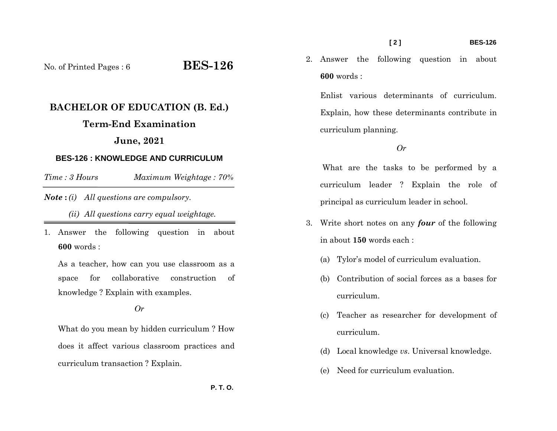**600** words :

2. Answer the following question in about

Enlist various determinants of curriculum. Explain, how these determinants contribute in curriculum planning.

## *Or*

 What are the tasks to be performed by a curriculum leader ? Explain the role of principal as curriculum leader in school.

- 3. Write short notes on any *four* of the following in about **150** words each :
	- (a) Tylor's model of curriculum evaluation.
	- (b) Contribution of social forces as a bases for curriculum.
	- (c) Teacher as researcher for development of curriculum.
	- (d) Local knowledge *vs*. Universal knowledge.
	- (e) Need for curriculum evaluation.

No. of Printed Pages : 6 **BES-126**

## **BACHELOR OF EDUCATION (B. Ed.)**

## **Term-End Examination**

## **June, 2021**

## **BES-126 : KNOWLEDGE AND CURRICULUM**

*Time : 3 HoursMaximum Weightage : 70%* 

## *Note* **:** *(i) All questions are compulsory.*

*(ii) All questions carry equal weightage.* 

1. Answer the following question in about **600** words :

As a teacher, how can you use classroom as a space for collaborative construction of knowledge ? Explain with examples.

*Or* 

What do you mean by hidden curriculum ? How does it affect various classroom practices and curriculum transaction ? Explain.

 **P. T. O.**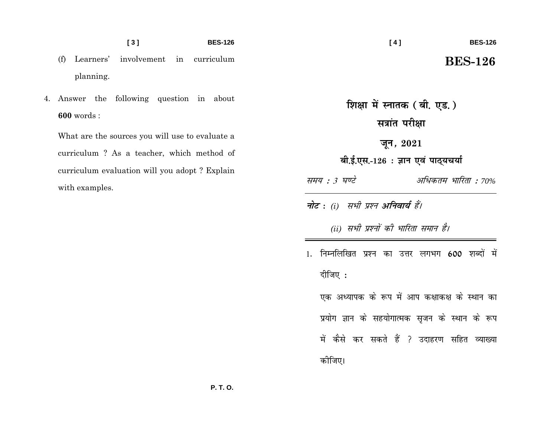### $[3]$ **BES-126**

- involvement in curriculum  $(f)$ Learners' planning.
- 4. Answer the following question in about  $600$  words:

What are the sources you will use to evaluate a curriculum? As a teacher, which method of curriculum evaluation will you adopt? Explain with examples.

## $[4]$

# **BES-126**

## **BES-126**

शिक्षा में स्नातक (बी. एड.) सत्रांत परीक्षा जून, 2021

बी.ई.एस.-126 : ज्ञान एवं पाठ्यचर्या

- समय : 3 घण्टे अधिकतम भारिता : 70%
- नोट : (i) सभी प्रश्न अनिवार्य हैं।

(ii) सभी प्रश्नों की भारिता समान है।

1. निम्नलिखित प्रश्न का उत्तर लगभग 600 शब्दों में दीजिए : एक अध्यापक के रूप में आप कक्षाकक्ष के स्थान का प्रयोग ज्ञान के सहयोगात्मक सृजन के स्थान के रूप में कैसे कर सकते हैं ? उदाहरण सहित व्याख्या कोजिए।